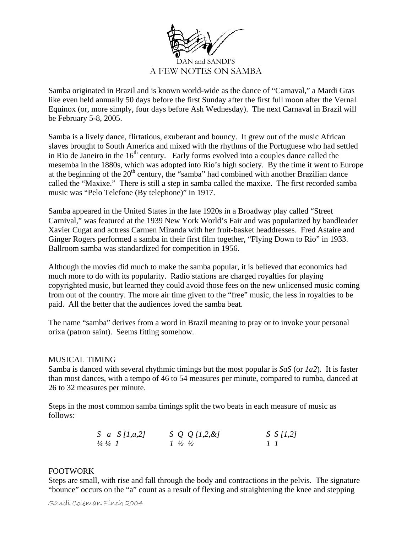

Samba originated in Brazil and is known world-wide as the dance of "Carnaval," a Mardi Gras like even held annually 50 days before the first Sunday after the first full moon after the Vernal Equinox (or, more simply, four days before Ash Wednesday). The next Carnaval in Brazil will be February 5-8, 2005.

Samba is a lively dance, flirtatious, exuberant and bouncy. It grew out of the music African slaves brought to South America and mixed with the rhythms of the Portuguese who had settled in Rio de Janeiro in the  $16<sup>th</sup>$  century. Early forms evolved into a couples dance called the mesemba in the 1880s, which was adopted into Rio's high society. By the time it went to Europe at the beginning of the  $20<sup>th</sup>$  century, the "samba" had combined with another Brazilian dance called the "Maxixe." There is still a step in samba called the maxixe. The first recorded samba music was "Pelo Telefone (By telephone)" in 1917.

Samba appeared in the United States in the late 1920s in a Broadway play called "Street Carnival," was featured at the 1939 New York World's Fair and was popularized by bandleader Xavier Cugat and actress Carmen Miranda with her fruit-basket headdresses. Fred Astaire and Ginger Rogers performed a samba in their first film together, "Flying Down to Rio" in 1933. Ballroom samba was standardized for competition in 1956.

Although the movies did much to make the samba popular, it is believed that economics had much more to do with its popularity. Radio stations are charged royalties for playing copyrighted music, but learned they could avoid those fees on the new unlicensed music coming from out of the country. The more air time given to the "free" music, the less in royalties to be paid. All the better that the audiences loved the samba beat.

The name "samba" derives from a word in Brazil meaning to pray or to invoke your personal orixa (patron saint). Seems fitting somehow.

## MUSICAL TIMING

Samba is danced with several rhythmic timings but the most popular is *SaS* (or *1a2*). It is faster than most dances, with a tempo of 46 to 54 measures per minute, compared to rumba, danced at 26 to 32 measures per minute.

Steps in the most common samba timings split the two beats in each measure of music as follows:

| S a $S$ [1, a, 2]             | $S \varrho \varrho [1,2,\alpha]$ | $S \ S \ I1,21$ |
|-------------------------------|----------------------------------|-----------------|
| $\frac{1}{4}$ $\frac{1}{4}$ 1 | $1\frac{1}{2}\frac{1}{2}$        | $\sqrt{1}$      |

## FOOTWORK

Steps are small, with rise and fall through the body and contractions in the pelvis. The signature "bounce" occurs on the "a" count as a result of flexing and straightening the knee and stepping